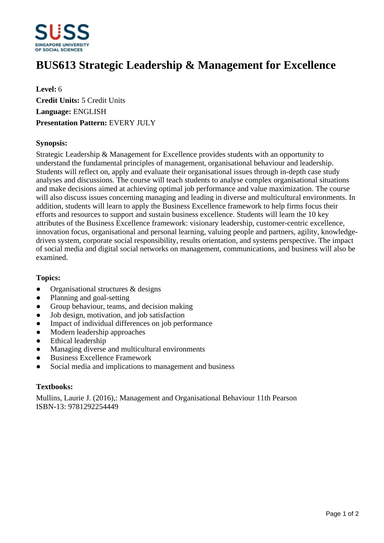

# **BUS613 Strategic Leadership & Management for Excellence**

**Level:** 6 **Credit Units:** 5 Credit Units **Language:** ENGLISH **Presentation Pattern:** EVERY JULY

### **Synopsis:**

Strategic Leadership & Management for Excellence provides students with an opportunity to understand the fundamental principles of management, organisational behaviour and leadership. Students will reflect on, apply and evaluate their organisational issues through in-depth case study analyses and discussions. The course will teach students to analyse complex organisational situations and make decisions aimed at achieving optimal job performance and value maximization. The course will also discuss issues concerning managing and leading in diverse and multicultural environments. In addition, students will learn to apply the Business Excellence framework to help firms focus their efforts and resources to support and sustain business excellence. Students will learn the 10 key attributes of the Business Excellence framework: visionary leadership, customer-centric excellence, innovation focus, organisational and personal learning, valuing people and partners, agility, knowledgedriven system, corporate social responsibility, results orientation, and systems perspective. The impact of social media and digital social networks on management, communications, and business will also be examined.

#### **Topics:**

- Organisational structures & designs
- Planning and goal-setting
- Group behaviour, teams, and decision making
- Job design, motivation, and job satisfaction
- Impact of individual differences on job performance
- Modern leadership approaches
- Ethical leadership
- Managing diverse and multicultural environments
- Business Excellence Framework
- Social media and implications to management and business

#### **Textbooks:**

Mullins, Laurie J. (2016),: Management and Organisational Behaviour 11th Pearson ISBN-13: 9781292254449